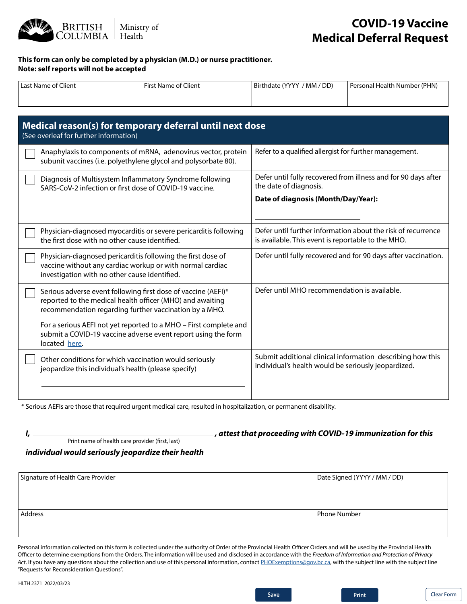

## **COVID-19 Vaccine Medical Deferral Request**

## **This form can only be completed by a physician (M.D.) or nurse practitioner. Note: self reports will not be accepted**

| <sup>1</sup> Last Name of Client | First Name of Client | / MM / DD)<br>Birthdate (YYYY | Personal Health Number (PHN) |
|----------------------------------|----------------------|-------------------------------|------------------------------|
|                                  |                      |                               |                              |

| Medical reason(s) for temporary deferral until next dose<br>(See overleaf for further information)                                                                                   |                                                                                                                    |  |  |
|--------------------------------------------------------------------------------------------------------------------------------------------------------------------------------------|--------------------------------------------------------------------------------------------------------------------|--|--|
| Anaphylaxis to components of mRNA, adenovirus vector, protein<br>subunit vaccines (i.e. polyethylene glycol and polysorbate 80).                                                     | Refer to a qualified allergist for further management.                                                             |  |  |
| Diagnosis of Multisystem Inflammatory Syndrome following<br>SARS-CoV-2 infection or first dose of COVID-19 vaccine.                                                                  | Defer until fully recovered from illness and for 90 days after<br>the date of diagnosis.                           |  |  |
|                                                                                                                                                                                      | Date of diagnosis (Month/Day/Year):                                                                                |  |  |
| Physician-diagnosed myocarditis or severe pericarditis following<br>the first dose with no other cause identified.                                                                   | Defer until further information about the risk of recurrence<br>is available. This event is reportable to the MHO. |  |  |
| Physician-diagnosed pericarditis following the first dose of<br>vaccine without any cardiac workup or with normal cardiac<br>investigation with no other cause identified.           | Defer until fully recovered and for 90 days after vaccination.                                                     |  |  |
| Serious adverse event following first dose of vaccine (AEFI)*<br>reported to the medical health officer (MHO) and awaiting<br>recommendation regarding further vaccination by a MHO. | Defer until MHO recommendation is available.                                                                       |  |  |
| For a serious AEFI not yet reported to a MHO - First complete and<br>submit a COVID-19 vaccine adverse event report using the form<br>located here.                                  |                                                                                                                    |  |  |
| Other conditions for which vaccination would seriously<br>jeopardize this individual's health (please specify)                                                                       | Submit additional clinical information describing how this<br>individual's health would be seriously jeopardized.  |  |  |
|                                                                                                                                                                                      |                                                                                                                    |  |  |

\* Serious AEFIs are those that required urgent medical care, resulted in hospitalization, or permanent disability.

*I, , attest that proceeding with COVID-19 immunization for this*  Print name of health care provider (first, last)

*individual would seriously jeopardize their health*

| Signature of Health Care Provider | Date Signed (YYYY / MM / DD) |
|-----------------------------------|------------------------------|
|                                   |                              |
|                                   |                              |
| <b>Address</b>                    | <b>Phone Number</b>          |
|                                   |                              |
|                                   |                              |

Personal information collected on this form is collected under the authority of Order of the Provincial Health Officer Orders and will be used by the Provincial Health Officer to determine exemptions from the Orders. The information will be used and disclosed in accordance with the *Freedom of Information and Protection of Privacy*  Act. If you have any questions about the collection and use of this personal information, contact PHOExemptions@gov.bc.ca, with the subject line with the subject line "Requests for Reconsideration Questions".